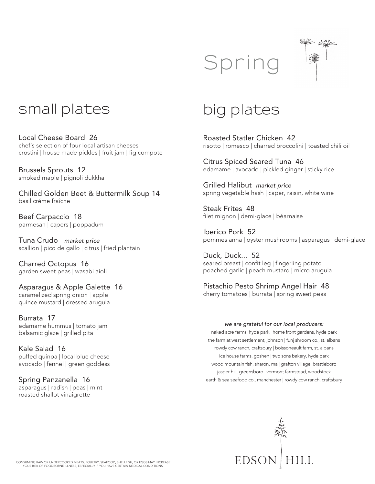



## **small plates**

Local Cheese Board 26 chef's selection of four local artisan cheeses crostini | house made pickles | fruit jam | fig compote

Brussels Sprouts 12 smoked maple | pignoli dukkha

Chilled Golden Beet & Buttermilk Soup 14 basil créme fraîche

Beef Carpaccio 18 parmesan | capers | poppadum

Tuna Crudo *market price* scallion | pico de gallo | citrus | fried plantain

Charred Octopus 16 garden sweet peas | wasabi aioli

Asparagus & Apple Galette 16 caramelized spring onion | apple quince mustard | dressed arugula

Burrata 17 edamame hummus | tomato jam balsamic glaze | grilled pita

Kale Salad 16 puffed quinoa | local blue cheese avocado | fennel | green goddess

Spring Panzanella 16 asparagus | radish | peas | mint roasted shallot vinaigrette

## **big plates**

Roasted Statler Chicken 42 risotto | romesco | charred broccolini | toasted chili oil

Citrus Spiced Seared Tuna 46 edamame | avocado | pickled ginger | sticky rice

Grilled Halibut *market price* spring vegetable hash | caper, raisin, white wine

Steak Frites 48 filet mignon | demi-glace | béarnaise

Iberico Pork 52 pommes anna | oyster mushrooms | asparagus | demi-glace

Duck, Duck... 52 seared breast | confit leg | fingerling potato poached garlic | peach mustard | micro arugula

Pistachio Pesto Shrimp Angel Hair 48 cherry tomatoes | burrata | spring sweet peas

## *we are grateful for our local producers:*

naked acre farms, hyde park | home front gardens, hyde park the farm at west settlement, johnson | funj shroom co., st. albans rowdy cow ranch, craftsbury | boissoneault farm, st. albans ice house farms, goshen | two sons bakery, hyde park wood mountain fish, sharon, ma | grafton village, brattleboro jasper hill, greensboro | vermont farmstead, woodstock earth & sea seafood co., manchester | rowdy cow ranch, craftsbury